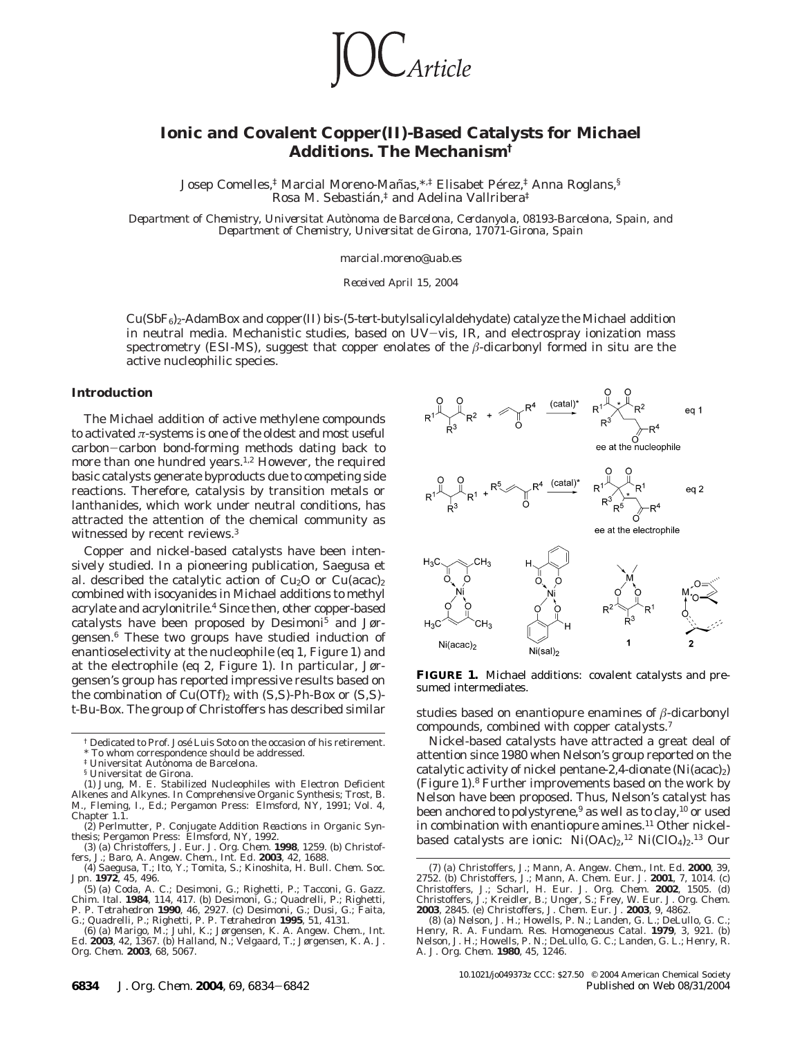*Article* 

# **Ionic and Covalent Copper(II)-Based Catalysts for Michael Additions. The Mechanism†**

Josep Comelles,<sup>†</sup> Marcial Moreno-Mañas,<sup>\*,‡</sup> Elisabet Pérez,<sup>‡</sup> Anna Roglans,<sup>§</sup> Rosa M. Sebastián, $\frac{1}{4}$  and Adelina Vallribera<sup>‡</sup>

*Department of Chemistry, Universitat Auto*`*noma de Barcelona, Cerdanyola, 08193-Barcelona, Spain, and Department of Chemistry, Universitat de Girona, 17071-Girona, Spain*

*marcial.moreno@uab.es*

*Received April 15, 2004*

Cu(SbF6)2-AdamBox and copper(II) bis-(5-*tert*-butylsalicylaldehydate) catalyze the Michael addition in neutral media. Mechanistic studies, based on UV-vis, IR, and electrospray ionization mass spectrometry (ESI-MS), suggest that copper enolates of the *â*-dicarbonyl formed in situ are the active nucleophilic species.

#### **Introduction**

The Michael addition of active methylene compounds to activated *π*-systems is one of the oldest and most useful carbon-carbon bond-forming methods dating back to more than one hundred years.<sup>1,2</sup> However, the required basic catalysts generate byproducts due to competing side reactions. Therefore, catalysis by transition metals or lanthanides, which work under neutral conditions, has attracted the attention of the chemical community as witnessed by recent reviews.<sup>3</sup>

Copper and nickel-based catalysts have been intensively studied. In a pioneering publication, Saegusa et al. described the catalytic action of  $Cu<sub>2</sub>O$  or  $Cu(acac)<sub>2</sub>$ combined with isocyanides in Michael additions to methyl acrylate and acrylonitrile.<sup>4</sup> Since then, other copper-based catalysts have been proposed by Desimoni<sup>5</sup> and Jørgensen.6 These two groups have studied induction of enantioselectivity at the nucleophile (eq 1, Figure 1) and at the electrophile (eq 2, Figure 1). In particular, Jørgensen's group has reported impressive results based on the combination of Cu(OTf)2 with (*S,S*)-Ph-Box or (*S,S*)  $t$ -Bu-Box. The group of Christoffers has described similar studies based on enantiopure enamines of  $\beta$ -dicarbonyl



**FIGURE 1.** Michael additions: covalent catalysts and presumed intermediates.

compounds, combined with copper catalysts.7

Nickel-based catalysts have attracted a great deal of attention since 1980 when Nelson's group reported on the catalytic activity of nickel pentane-2,4-dionate  $(Ni(acac)_2)$ (Figure 1).8 Further improvements based on the work by Nelson have been proposed. Thus, Nelson's catalyst has been anchored to polystyrene,<sup>9</sup> as well as to clay,<sup>10</sup> or used in combination with enantiopure amines.<sup>11</sup> Other nickelbased catalysts are ionic:  $\mathrm{Ni(OAc)}_{2}$ ,<sup>12</sup>  $\mathrm{Ni(ClO}_4)_{2}$ ,<sup>13</sup> Our

<sup>&</sup>lt;sup>†</sup> Dedicated to Prof. José Luis Soto on the occasion of his retirement. To whom correspondence should be addressed.

<sup>&</sup>lt;sup>‡</sup> Universitat Autonoma de Barcelona.

<sup>§</sup> Universitat de Girona.

<sup>(1)</sup> Jung, M. E. Stabilized Nucleophiles with Electron Deficient Alkenes and Alkynes. In *Comprehensive Organic Synthesis*; Trost, B. M., Fleming, I., Ed.; Pergamon Press: Elmsford, NY, 1991; Vol. 4, Chapter 1.1.

<sup>(2)</sup> Perlmutter, P. *Conjugate Addition Reactions in Organic Synthesis*; Pergamon Press: Elmsford, NY, 1992. (3) (a) Christoffers, J. *Eur. J. Org. Chem*. **1998**, 1259. (b) Christof-

fers, J.; Baro, A. *Angew. Chem., Int. Ed.* **2003**, *42*, 1688.<br>(4) Saegusa, T.; Ito, Y.; Tomita, S.; Kinoshita, H. *Bull. Chem. Soc.*<br>*Jpn.* **1972**, *45*, 496. C.; Desimoni, G.; Righetti, P.; Tacconi, G. *Gazz.* 

*Chim. Ital*. **1984**, *114*, 417. (b) Desimoni, G.; Quadrelli, P.; Righetti, P. P. *Tetrahedron* **1990**, *46*, 2927. (c) Desimoni, G.; Dusi, G.; Faita, G.; Quadrelli, P.; Righetti, P. P. *Tetrahedron* **1995**, *51*, 4131. (6) (a) Marigo, M.; Juhl, K.; Jørgensen, K. A. *Angew. Chem., Int.*

*Ed*. **2003**, *42*, 1367. (b) Halland, N.; Velgaard, T.; Jørgensen, K. A. *J. Org. Chem*. **2003**, *68*, 5067.

<sup>(7) (</sup>a) Christoffers, J.; Mann, A. *Angew. Chem., Int. Ed.* **2000**, *39*, 2752. (b) Christoffers, J.; Mann, A. *Chem. Eur. J.* **2001**, 7, 1014. (c) Christoffers, J.; Scharl, H. *Eur. J. Org. Chem.* **2002**, 1505. (d) Christoffers, J.; Kreidler, B.; Unger, S.; Frey, W. *Eur. J. Org. Chem*. **2003**, 2845. (e) Christoffers, J. *Chem. Eur. J*. **2003**, *9*, 4862.

<sup>(8) (</sup>a) Nelson, J. H.; Howells, P. N.; Landen, G. L.; DeLullo, G. C.; Henry, R. A. *Fundam. Res. Homogeneous Catal*. **1979**, *3*, 921. (b) Nelson, J. H.; Howells, P. N.; DeLullo, G. C.; Landen, G. L.; Henry, R. A. *J. Org. Chem*. **1980**, *45*, 1246.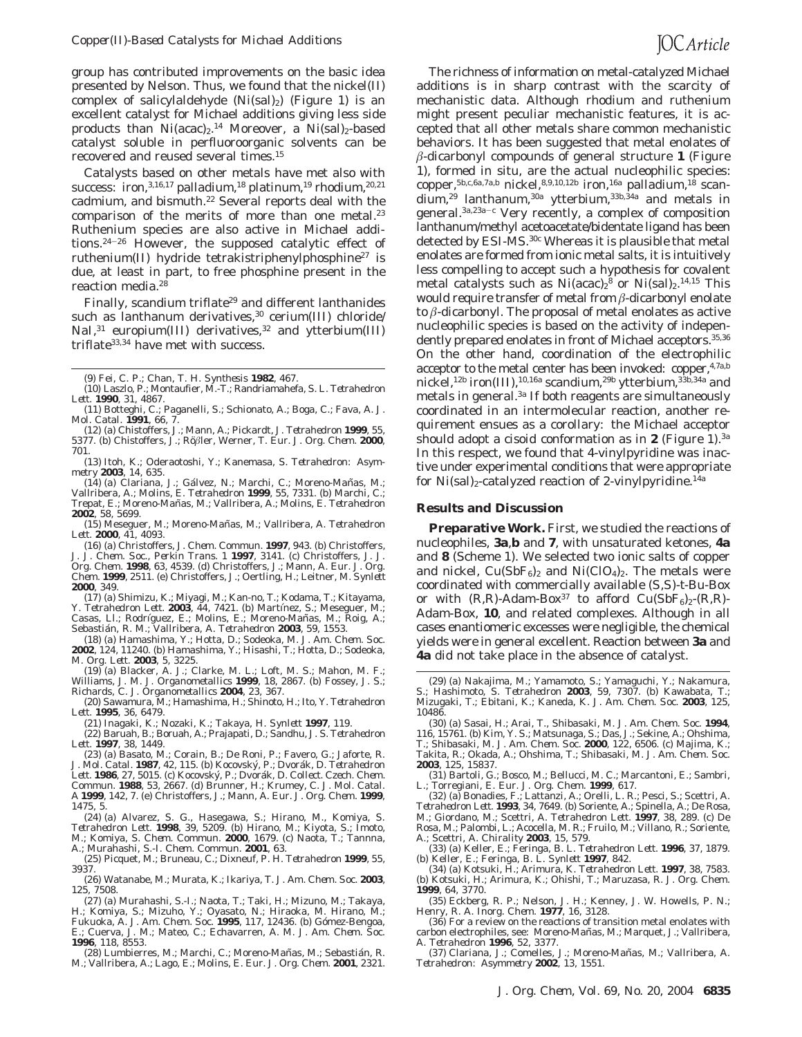group has contributed improvements on the basic idea presented by Nelson. Thus, we found that the nickel(II) complex of salicylaldehyde  $(Ni(sal)_2)$  (Figure 1) is an excellent catalyst for Michael additions giving less side products than  $Ni (acac)_2$ .<sup>14</sup> Moreover, a  $Ni (sal)_2$ -based catalyst soluble in perfluoroorganic solvents can be recovered and reused several times.15

Catalysts based on other metals have met also with success: iron, 3,16,17 palladium, <sup>18</sup> platinum, <sup>19</sup> rhodium, <sup>20,21</sup> cadmium, and bismuth.<sup>22</sup> Several reports deal with the comparison of the merits of more than one metal.<sup>23</sup> Ruthenium species are also active in Michael additions.24-<sup>26</sup> However, the supposed catalytic effect of ruthenium(II) hydride tetrakistriphenylphosphine27 is due, at least in part, to free phosphine present in the reaction media.28

Finally, scandium triflate<sup>29</sup> and different lanthanides such as lanthanum derivatives,<sup>30</sup> cerium(III) chloride/ NaI,<sup>31</sup> europium(III) derivatives,<sup>32</sup> and ytterbium(III) triflate33,34 have met with success.

(9) Fei, C. P.; Chan, T. H. *Synthesis* **1982**, 467.

- (11) Botteghi, C.; Paganelli, S.; Schionato, A.; Boga, C.; Fava, A. *J. Mol. Catal*. **1991**, *66*, 7.
- (12) (a) Chistoffers, J.; Mann, A.; Pickardt, J. *Tetrahedron* **1999**, *55*, 5377. (b) Chistoffers, J.; Rößler, Werner, T. *Eur. J. Org. Chem*. 2000, 701.
- (13) Itoh, K.; Oderaotoshi, Y.; Kanemasa, S. *Tetrahedron: Asymmetry* **2003**, *14*, 635.
- (14) (a) Clariana, J.; Gálvez, N.; Marchi, C.; Moreno-Mañas, M.; Vallribera, A.; Molins, E. *Tetrahedron* **1999**, *55*, 7331. (b) Marchi, C.; Trepat, E.; Moreno-Mañas, M.; Vallribera, A.; Molins, E. *Tetrahedron* **2002**, *58*, 5699.
- (15) Meseguer, M.; Moreno-Mañas, M.; Vallribera, A. *Tetrahedron Lett*. **2000**, *41*, 4093.

(16) (a) Christoffers, J. *Chem. Commun*. **1997**, 943. (b) Christoffers, J. *J. Chem. Soc., Perkin Trans. 1* **1997**, 3141. (c) Christoffers, J. *J. Org. Chem*. **1998**, *63*, 4539. (d) Christoffers, J.; Mann, A. *Eur. J. Org. Chem*. **1999**, 2511. (e) Christoffers, J.; Oertling, H.; Leitner, M. *Synlett* **2000**, 349.

(17) (a) Shimizu, K.; Miyagi, M.; Kan-no, T.; Kodama, T.; Kitayama, Y. *Tetrahedron Lett.* **2003**, 44, 7421. (b) Martínez, S.; Meseguer, M.;<br>Casas, Ll.; Rodríguez, E.; Molins, E.; Moreno-Mañas, M.; Roig, A.; Sebastia´n, R. M.; Vallribera, A. *Tetrahedron* **2003**, *59*, 1553.

(18) (a) Hamashima, Y.; Hotta, D.; Sodeoka, M. *J. Am. Chem. Soc*. **2002**, *124*, 11240. (b) Hamashima, Y.; Hisashi, T.; Hotta, D.; Sodeoka, M. *Org. Lett*. **2003**, *5*, 3225.

(19) (a) Blacker, A. J.; Clarke, M. L.; Loft, M. S.; Mahon, M. F.; Williams, J. M. J. *Organometallics* **1999**, *18*, 2867. (b) Fossey, J. S.; Richards, C. J. *Organometallics* **2004**, *23*, 367.

(20) Sawamura, M.; Hamashima, H.; Shinoto, H.; Ito, Y. *Tetrahedron Lett*. **1995**, *36*, 6479.

(22) Baruah, B.; Boruah, A.; Prajapati, D.; Sandhu, J. S. *Tetrahedron Lett*. **1997**, *38*, 1449.

(23) (a) Basato, M.; Corain, B.; De Roni, P.; Favero, G.; Jaforte, R. *J. Mol. Catal*. **1987**, *42*, 115. (b) Kocovsky´, P.; Dvora´k, D. *Tetrahedron Lett*. **1986**, *27*, 5015. (c) Kocovsky´, P.; Dvora´k, D. *Collect. Czech. Chem. Commun*. **1988**, *53*, 2667. (d) Brunner, H.; Krumey, C. *J. Mol. Catal. A* **1999**, *142*, 7. (e) Christoffers, J.; Mann, A. *Eur. J. Org. Chem.* **1999**, *1475*, 5.

(24) (a) Alvarez, S. G., Hasegawa, S.; Hirano, M., Komiya, S. *Tetrahedron Lett*. **1998**, *39*, 5209. (b) Hirano, M.; Kiyota, S.; Imoto, M.; Komiya, S. *Chem. Commun*. **2000**, 1679. (c) Naota, T.; Tannna, A.; Murahashi, S.-I. *Chem. Commun*. **2001**, 63.

(25) Picquet, M.; Bruneau, C.; Dixneuf, P. H. *Tetrahedron* **1999**, *55*, 3937.

(26) Watanabe, M.; Murata, K.; Ikariya, T. *J. Am. Chem. Soc*. **2003**, *125*, 7508.

(27) (a) Murahashi, S.-I.; Naota, T.; Taki, H.; Mizuno, M.; Takaya, H.; Komiya, S.; Mizuho, Y.; Oyasato, N.; Hiraoka, M. Hirano, M.; Fukuoka, A. J. Am. Chem. Soc. 1995, 117, 12436. (b) Gómez-Bengoa, E.; Cuerva, J. M.; Mateo, C.; Echavarren, A. M. *J. Am. Chem. Soc*. **1996**, *118*, 8553.

(28) Lumbierres, M.; Marchi, C.; Moreno-Mañas, M.; Sebastián, R. M.; Vallribera, A.; Lago, E.; Molins, E. *Eur. J. Org. Chem.* **2001**, 2321.

The richness of information on metal-catalyzed Michael additions is in sharp contrast with the scarcity of mechanistic data. Although rhodium and ruthenium might present peculiar mechanistic features, it is accepted that all other metals share common mechanistic behaviors. It has been suggested that metal enolates of *â*-dicarbonyl compounds of general structure **1** (Figure 1), formed in situ, are the actual nucleophilic species: copper,<sup>5b,c,6a,7a,b</sup> nickel,<sup>8,9,10,12b</sup> iron,<sup>16a</sup> palladium,<sup>18</sup> scandium,29 lanthanum,30a ytterbium,33b,34a and metals in general.3a,23a-<sup>c</sup> Very recently, a complex of composition lanthanum/methyl acetoacetate/bidentate ligand has been detected by ESI-MS.30c Whereas it is plausible that metal enolates are formed from ionic metal salts, it is intuitively less compelling to accept such a hypothesis for covalent metal catalysts such as Ni(acac)<sub>2</sub><sup>8</sup> or Ni(sal)<sub>2</sub>.<sup>14,15</sup> This would require transfer of metal from *â*-dicarbonyl enolate to *â*-dicarbonyl. The proposal of metal enolates as active nucleophilic species is based on the activity of independently prepared enolates in front of Michael acceptors.<sup>35,36</sup> On the other hand, coordination of the electrophilic acceptor to the metal center has been invoked: copper,<sup>4,7a,b</sup> nickel,<sup>12b</sup> iron(III),<sup>10,16a</sup> scandium,<sup>29b</sup> ytterbium,<sup>33b,34a</sup> and metals in general.3a If both reagents are simultaneously coordinated in an intermolecular reaction, another requirement ensues as a corollary: the Michael acceptor should adopt a *cisoid* conformation as in **2** (Figure 1).3a In this respect, we found that 4-vinylpyridine was inactive under experimental conditions that were appropriate for  $Ni(sal)_2$ -catalyzed reaction of 2-vinylpyridine.<sup>14a</sup>

#### **Results and Discussion**

**Preparative Work.** First, we studied the reactions of nucleophiles, **3a**,**b** and **7**, with unsaturated ketones, **4a** and **8** (Scheme 1). We selected two ionic salts of copper and nickel,  $Cu(SbF_6)_2$  and  $Ni(ClO_4)_2$ . The metals were coordinated with commercially available (*S,S*)-*t*-Bu-Box or with  $(R, R)$ -Adam-Box<sup>37</sup> to afford  $Cu(SbF_6)_2-(R, R)$ -Adam-Box, **10**, and related complexes. Although in all cases enantiomeric excesses were negligible, the chemical yields were in general excellent. Reaction between **3a** and **4a** did not take place in the absence of catalyst.

(33) (a) Keller, E.; Feringa, B. L. *Tetrahedron Lett*. **1996**, *37*, 1879. (b) Keller, E.; Feringa, B. L. *Synlett* **1997**, 842.

(34) (a) Kotsuki, H.; Arimura, K. *Tetrahedron Lett*. **1997**, *38*, 7583. (b) Kotsuki, H.; Arimura, K.; Ohishi, T.; Maruzasa, R. *J. Org. Chem*. **1999**, *64*, 3770.

(35) Eckberg, R. P.; Nelson, J. H.; Kenney, J. W. Howells, P. N.; Henry, R. A. *Inorg. Chem*. **1977**, *16*, 3128.

(36) For a review on the reactions of transition metal enolates with carbon electrophiles, see: Moreno-Mañas, M.; Marquet, J.; Vallribera, A. *Tetrahedron* **1996**, *52*, 3377.

(37) Clariana, J.; Comelles, J.; Moreno-Mañas, M.; Vallribera, A. *Tetrahedron: Asymmetry* **2002**, *13*, 1551.

<sup>(10)</sup> Laszlo, P.; Montaufier, M.-T.; Randriamahefa, S. L. *Tetrahedron Lett*. **1990**, *31*, 4867.

<sup>(21)</sup> Inagaki, K.; Nozaki, K.; Takaya, H. *Synlett* **1997**, 119.

<sup>(29) (</sup>a) Nakajima, M.; Yamamoto, S.; Yamaguchi, Y.; Nakamura, S.; Hashimoto, S. *Tetrahedron* **2003**, *59*, 7307. (b) Kawabata, T.; Mizugaki, T.; Ebitani, K.; Kaneda, K. *J. Am. Chem. Soc*. **2003**, *125*, 10486.

<sup>(30) (</sup>a) Sasai, H.; Arai, T., Shibasaki, M. *J. Am. Chem. Soc*. **1994**, *116*, 15761. (b) Kim, Y. S.; Matsunaga, S.; Das, J.; Sekine, A.; Ohshima, T.; Shibasaki, M. *J. Am. Chem. Soc*. **2000**, *122*, 6506. (c) Majima, K.; Takita, R.; Okada, A.; Ohshima, T.; Shibasaki, M. *J. Am. Chem. Soc*. **2003**, *125*, 15837.

<sup>(31)</sup> Bartoli, G.; Bosco, M.; Bellucci, M. C.; Marcantoni, E.; Sambri,

L.; Torregiani, E. *Eur. J. Org. Chem*. **1999**, 617.<br>(32) (a) Bonadies, F.; Lattanzi, A.; Orelli, L. R.; Pesci, S.; Scettri, A.<br>*Tetrahedron Lett*. **1993**, *34*, 7649. (b) Soriente, A.; Spinella, A.; De Rosa, M.; Giordano, M.; Scettri, A. *Tetrahedron Lett*. **1997**, *38*, 289. (c) De Rosa, M.; Palombi, L.; Acocella, M. R.; Fruilo, M.; Villano, R.; Soriente, A.; Scettri, A. *Chirality* **2003**, *15*, 579.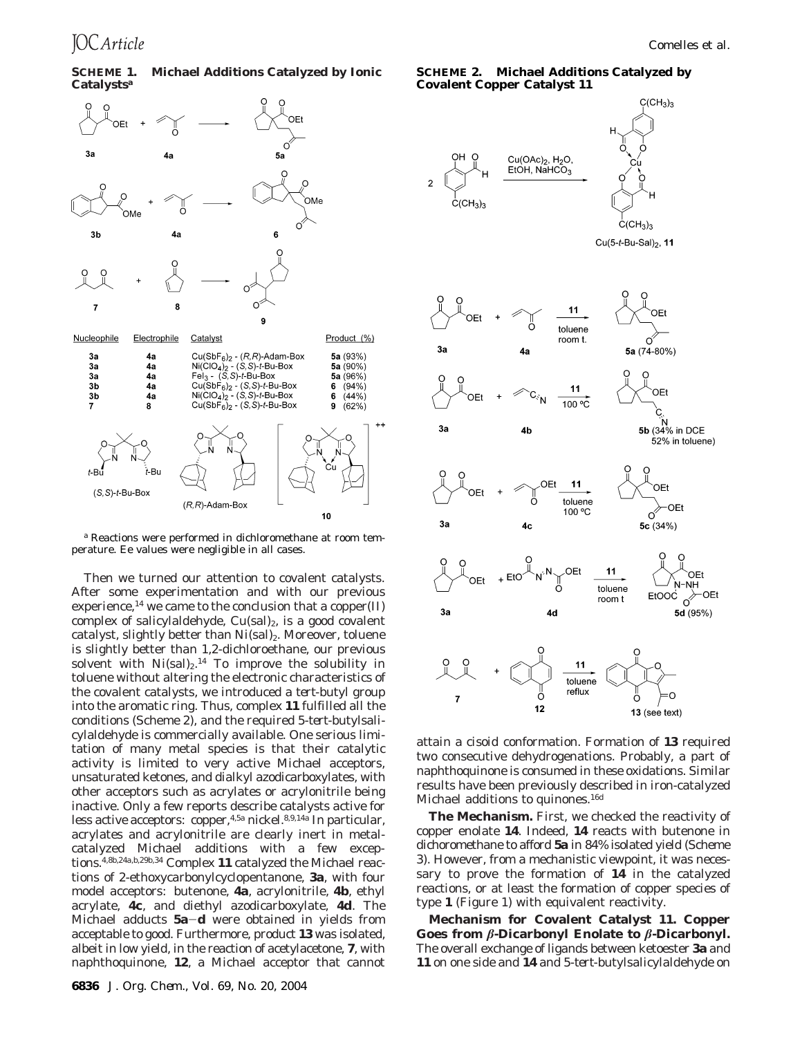## **SCHEME 1. Michael Additions Catalyzed by Ionic Catalysts***<sup>a</sup>*





Then we turned our attention to covalent catalysts. After some experimentation and with our previous experience,<sup>14</sup> we came to the conclusion that a copper(II) complex of salicylaldehyde,  $Cu(sal)_2$ , is a good covalent catalyst, slightly better than  $Ni(sal)_2$ . Moreover, toluene is slightly better than 1,2-dichloroethane, our previous solvent with  $Ni(sal)_2$ .<sup>14</sup> To improve the solubility in toluene without altering the electronic characteristics of the covalent catalysts, we introduced a *tert*-butyl group into the aromatic ring. Thus, complex **11** fulfilled all the conditions (Scheme 2), and the required 5-*tert*-butylsalicylaldehyde is commercially available. One serious limitation of many metal species is that their catalytic activity is limited to very active Michael acceptors, unsaturated ketones, and dialkyl azodicarboxylates, with other acceptors such as acrylates or acrylonitrile being inactive. Only a few reports describe catalysts active for less active acceptors: copper,4,5a nickel.8,9,14a In particular, acrylates and acrylonitrile are clearly inert in metalcatalyzed Michael additions with a few exceptions.4,8b,24a,b,29b,34 Complex **11** catalyzed the Michael reactions of 2-ethoxycarbonylcyclopentanone, **3a**, with four model acceptors: butenone, **4a**, acrylonitrile, **4b**, ethyl acrylate, **4c**, and diethyl azodicarboxylate, **4d**. The Michael adducts **5a**-**<sup>d</sup>** were obtained in yields from acceptable to good. Furthermore, product **13** was isolated, albeit in low yield, in the reaction of acetylacetone, **7**, with naphthoquinone, **12**, a Michael acceptor that cannot

**SCHEME 2. Michael Additions Catalyzed by Covalent Copper Catalyst 11**



attain a *cisoid* conformation. Formation of **13** required two consecutive dehydrogenations. Probably, a part of naphthoquinone is consumed in these oxidations. Similar results have been previously described in iron-catalyzed Michael additions to quinones.16d

**The Mechanism.** First, we checked the reactivity of copper enolate **14**. Indeed, **14** reacts with butenone in dichoromethane to afford **5a** in 84% isolated yield (Scheme 3). However, from a mechanistic viewpoint, it was necessary to prove the formation of **14** in the catalyzed reactions, or at least the formation of copper species of type **1** (Figure 1) with equivalent reactivity.

**Mechanism for Covalent Catalyst 11. Copper Goes from** *â***-Dicarbonyl Enolate to** *â***-Dicarbonyl.** The overall exchange of ligands between ketoester **3a** and **11** on one side and **14** and 5-*tert*-butylsalicylaldehyde on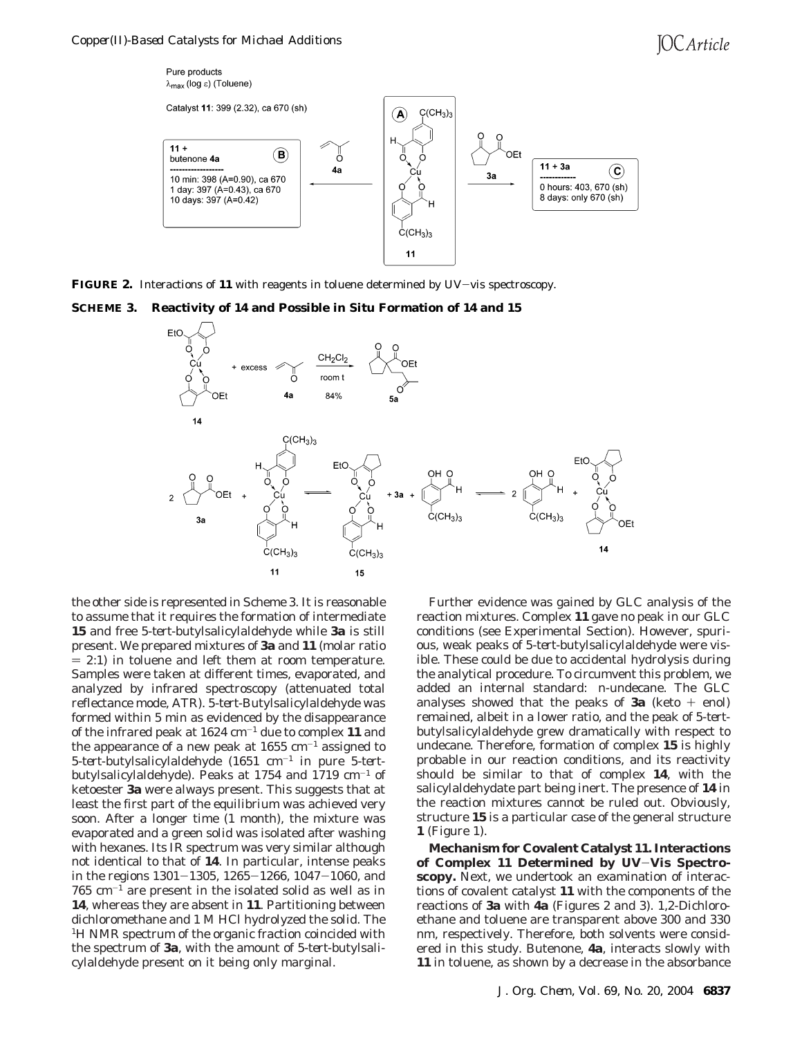

**FIGURE 2.** Interactions of **<sup>11</sup>** with reagents in toluene determined by UV-vis spectroscopy.

**SCHEME 3. Reactivity of 14 and Possible in Situ Formation of 14 and 15**



the other side is represented in Scheme 3. It is reasonable to assume that it requires the formation of intermediate **15** and free 5-*tert*-butylsalicylaldehyde while **3a** is still present. We prepared mixtures of **3a** and **11** (molar ratio  $= 2:1$ ) in toluene and left them at room temperature. Samples were taken at different times, evaporated, and analyzed by infrared spectroscopy (attenuated total reflectance mode, ATR). 5-*tert*-Butylsalicylaldehyde was formed within 5 min as evidenced by the disappearance of the infrared peak at 1624 cm-<sup>1</sup> due to complex **11** and the appearance of a new peak at  $1655 \text{ cm}^{-1}$  assigned to 5-*tert*-butylsalicylaldehyde (1651 cm-<sup>1</sup> in pure 5-*tert*butylsalicylaldehyde). Peaks at 1754 and 1719  $cm^{-1}$  of ketoester **3a** were always present. This suggests that at least the first part of the equilibrium was achieved very soon. After a longer time (1 month), the mixture was evaporated and a green solid was isolated after washing with hexanes. Its IR spectrum was very similar although not identical to that of **14**. In particular, intense peaks in the regions 1301-1305, 1265-1266, 1047-1060, and  $765$  cm<sup>-1</sup> are present in the isolated solid as well as in **14**, whereas they are absent in **11**. Partitioning between dichloromethane and 1 M HCl hydrolyzed the solid. The <sup>1</sup>H NMR spectrum of the organic fraction coincided with the spectrum of **3a**, with the amount of 5-*tert*-butylsalicylaldehyde present on it being only marginal.

Further evidence was gained by GLC analysis of the reaction mixtures. Complex **11** gave no peak in our GLC conditions (see Experimental Section). However, spurious, weak peaks of 5-*tert*-butylsalicylaldehyde were visible. These could be due to accidental hydrolysis during the analytical procedure. To circumvent this problem, we added an internal standard: *n*-undecane. The GLC analyses showed that the peaks of **3a** (keto  $+$  enol) remained, albeit in a lower ratio, and the peak of 5-*tert*butylsalicylaldehyde grew dramatically with respect to undecane. Therefore, formation of complex **15** is highly probable in our reaction conditions, and its reactivity should be similar to that of complex **14**, with the salicylaldehydate part being inert. The presence of **14** in the reaction mixtures cannot be ruled out. Obviously, structure **15** is a particular case of the general structure **1** (Figure 1).

**Mechanism for Covalent Catalyst 11. Interactions of Complex 11 Determined by UV**-**Vis Spectroscopy.** Next, we undertook an examination of interactions of covalent catalyst **11** with the components of the reactions of **3a** with **4a** (Figures 2 and 3). 1,2-Dichloroethane and toluene are transparent above 300 and 330 nm, respectively. Therefore, both solvents were considered in this study. Butenone, **4a**, interacts slowly with **11** in toluene, as shown by a decrease in the absorbance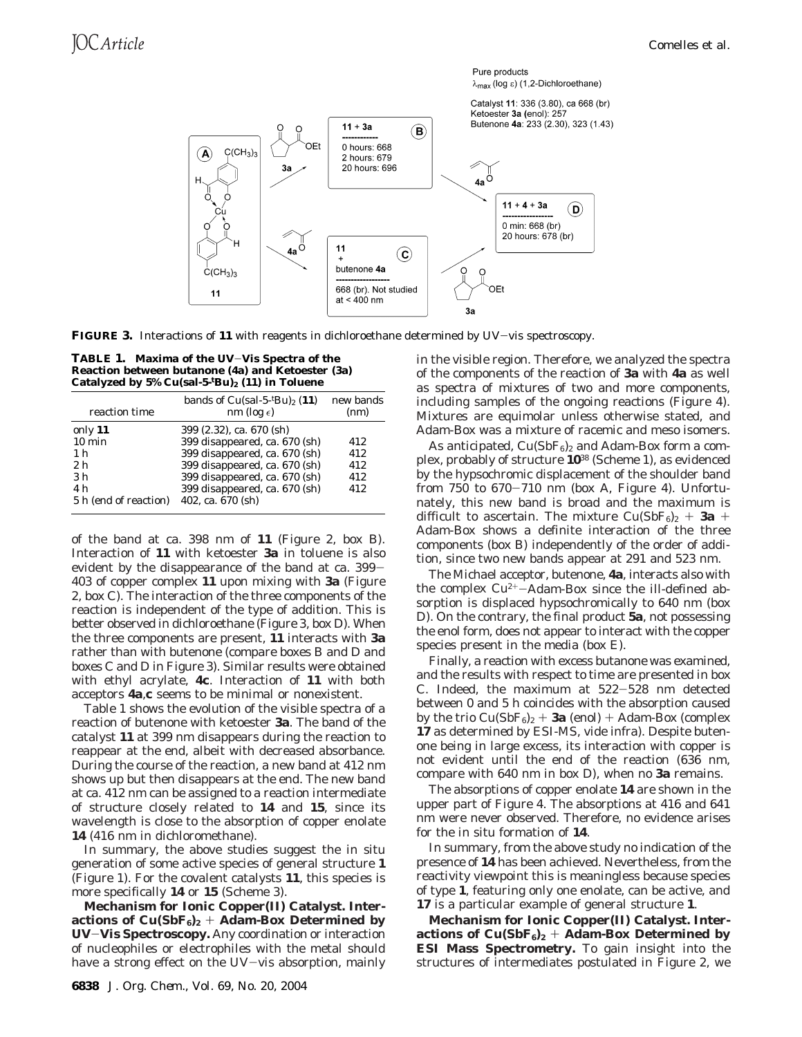

Catalyst 11: 336 (3.80), ca 668 (br) Ketoester 3a (enol): 257



**FIGURE 3.** Interactions of **<sup>11</sup>** with reagents in dichloroethane determined by UV-vis spectroscopy.

**TABLE 1. Maxima of the UV**-**Vis Spectra of the Reaction between butanone (4a) and Ketoester (3a) Catalyzed by 5% Cu(sal-5-***<sup>t</sup>* **Bu)2 (11) in Toluene**

| reaction time         | bands of $Cu(sal-5-Hu)2$ (11)<br>nm (log $\epsilon$ ) | new bands<br>(nm) |  |
|-----------------------|-------------------------------------------------------|-------------------|--|
| only 11               | 399 (2.32), ca. 670 (sh)                              |                   |  |
| $10 \text{ min}$      | 399 disappeared, ca. 670 (sh)                         | 412               |  |
| 1 <sub>h</sub>        | 399 disappeared, ca. 670 (sh)                         | 412               |  |
| 2 <sub>h</sub>        | 399 disappeared, ca. 670 (sh)                         | 412               |  |
| 3 <sub>h</sub>        | 399 disappeared, ca. 670 (sh)                         | 412               |  |
| 4 h                   | 399 disappeared, ca. 670 (sh)                         | 412               |  |
| 5 h (end of reaction) | 402, ca. 670 (sh)                                     |                   |  |

of the band at ca. 398 nm of **11** (Figure 2, box B). Interaction of **11** with ketoester **3a** in toluene is also evident by the disappearance of the band at ca. 399- 403 of copper complex **11** upon mixing with **3a** (Figure 2, box C). The interaction of the three components of the reaction is independent of the type of addition. This is better observed in dichloroethane (Figure 3, box D). When the three components are present, **11** interacts with **3a** rather than with butenone (compare boxes B and D and boxes C and D in Figure 3). Similar results were obtained with ethyl acrylate, **4c**. Interaction of **11** with both acceptors **4a**,**c** seems to be minimal or nonexistent.

Table 1 shows the evolution of the visible spectra of a reaction of butenone with ketoester **3a**. The band of the catalyst **11** at 399 nm disappears during the reaction to reappear at the end, albeit with decreased absorbance. During the course of the reaction, a new band at 412 nm shows up but then disappears at the end. The new band at ca. 412 nm can be assigned to a reaction intermediate of structure closely related to **14** and **15**, since its wavelength is close to the absorption of copper enolate **14** (416 nm in dichloromethane).

In summary, the above studies suggest the in situ generation of some active species of general structure **1** (Figure 1). For the covalent catalysts **11**, this species is more specifically **14** or **15** (Scheme 3).

**Mechanism for Ionic Copper(II) Catalyst. Interactions of Cu(SbF6)2** <sup>+</sup> **Adam-Box Determined by UV**-**Vis Spectroscopy.** Any coordination or interaction of nucleophiles or electrophiles with the metal should have a strong effect on the UV-vis absorption, mainly

in the visible region. Therefore, we analyzed the spectra of the components of the reaction of **3a** with **4a** as well as spectra of mixtures of two and more components, including samples of the ongoing reactions (Figure 4). Mixtures are equimolar unless otherwise stated, and Adam-Box was a mixture of racemic and meso isomers.

As anticipated,  $Cu(SbF_6)_2$  and Adam-Box form a complex, probably of structure **10**<sup>38</sup> (Scheme 1), as evidenced by the hypsochromic displacement of the shoulder band from  $750$  to  $670-710$  nm (box A, Figure 4). Unfortunately, this new band is broad and the maximum is difficult to ascertain. The mixture  $Cu(SbF_6)_2 + 3a +$ Adam-Box shows a definite interaction of the three components (box B) independently of the order of addition, since two new bands appear at 291 and 523 nm.

The Michael acceptor, butenone, **4a**, interacts also with the complex  $Cu^{2+}-Adam-Box$  since the ill-defined absorption is displaced hypsochromically to 640 nm (box D). On the contrary, the final product **5a**, not possessing the enol form, does not appear to interact with the copper species present in the media (box E).

Finally, a reaction with excess butanone was examined, and the results with respect to time are presented in box C. Indeed, the maximum at 522-528 nm detected between 0 and 5 h coincides with the absorption caused by the trio  $Cu(SbF_6)_2 + 3a$  (enol) + Adam-Box (complex **17** as determined by ESI-MS, vide infra). Despite butenone being in large excess, its interaction with copper is not evident until the end of the reaction (636 nm, compare with 640 nm in box D), when no **3a** remains.

The absorptions of copper enolate **14** are shown in the upper part of Figure 4. The absorptions at 416 and 641 nm were never observed. Therefore, no evidence arises for the in situ formation of **14**.

In summary, from the above study no indication of the presence of **14** has been achieved. Nevertheless, from the reactivity viewpoint this is meaningless because species of type **1**, featuring only one enolate, can be active, and **17** is a particular example of general structure **1**.

**Mechanism for Ionic Copper(II) Catalyst. Interactions of Cu(SbF6)2** <sup>+</sup> **Adam-Box Determined by ESI Mass Spectrometry.** To gain insight into the structures of intermediates postulated in Figure 2, we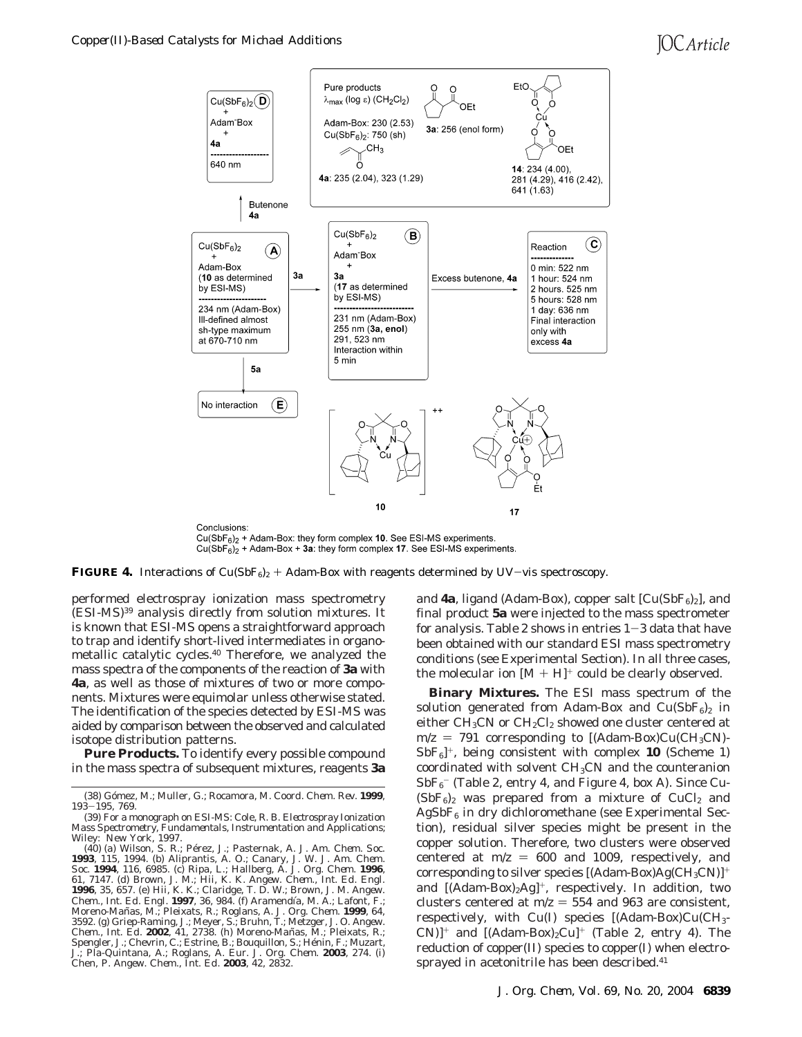# **IOC** Article



 $Cu(SbF_6)_2$  + Adam-Box: they form complex 10. See ESI-MS experiments.  $Cu(SbF<sub>6</sub>)<sub>2</sub>$  + Adam-Box + 3a: they form complex 17. See ESI-MS experiments.

**FIGURE 4.** Interactions of  $Cu(SbF_6)_2 + Adam-Box$  with reagents determined by UV-vis spectroscopy.

performed electrospray ionization mass spectrometry (ESI-MS)39 analysis directly from solution mixtures. It is known that ESI-MS opens a straightforward approach to trap and identify short-lived intermediates in organometallic catalytic cycles.40 Therefore, we analyzed the mass spectra of the components of the reaction of **3a** with **4a**, as well as those of mixtures of two or more components. Mixtures were equimolar unless otherwise stated. The identification of the species detected by ESI-MS was aided by comparison between the observed and calculated isotope distribution patterns.

**Pure Products.** To identify every possible compound in the mass spectra of subsequent mixtures, reagents **3a**

and  $4a$ , ligand (Adam-Box), copper salt  $[Cu(SbF<sub>6</sub>)<sub>2</sub>]$ , and final product **5a** were injected to the mass spectrometer for analysis. Table 2 shows in entries  $1-3$  data that have been obtained with our standard ESI mass spectrometry conditions (see Experimental Section). In all three cases, the molecular ion  $[M + H]^+$  could be clearly observed.

**Binary Mixtures.** The ESI mass spectrum of the solution generated from Adam-Box and  $Cu(SbF_6)_2$  in either  $CH_3CN$  or  $CH_2Cl_2$  showed one cluster centered at  $m/z = 791$  corresponding to  $[(Adam-Box)Cu(CH<sub>3</sub>CN) SbF_6$ <sup>+</sup>, being consistent with complex **10** (Scheme 1) coordinated with solvent  $CH<sub>3</sub>CN$  and the counteranion  ${\rm SbF_6}^-$  (Table 2, entry 4, and Figure 4, box A). Since Cu- $(SbF_6)_2$  was prepared from a mixture of CuCl<sub>2</sub> and  $AgSbF<sub>6</sub>$  in dry dichloromethane (see Experimental Section), residual silver species might be present in the copper solution. Therefore, two clusters were observed centered at  $m/z = 600$  and 1009, respectively, and corresponding to silver species  $[(Adam-Box)Ag(CH_3CN)]^+$ and  $[(Adam-Box)_2Ag]^+$ , respectively. In addition, two clusters centered at  $m/z = 554$  and 963 are consistent, respectively, with  $Cu(I)$  species  $[(Adam-Box)Cu(CH<sub>3</sub> CN$ ]<sup>+</sup> and [(Adam-Box)<sub>2</sub>Cu]<sup>+</sup> (Table 2, entry 4). The reduction of copper(II) species to copper(I) when electrosprayed in acetonitrile has been described.<sup>41</sup>

<sup>(38)</sup> Go´mez, M.; Muller, G.; Rocamora, M. *Coord. Chem. Rev*. **1999**, *<sup>193</sup>*-*195*, 769.

<sup>(39)</sup> For a monograph on ESI-MS: Cole, R. B. *Electrospray Ionization Mass Spectrometry, Fundamentals, Instrumentation and Applications*; Wiley: New York, 1997.

<sup>(40) (</sup>a) Wilson, S. R.; Pe´rez, J.; Pasternak, A. *J. Am. Chem. Soc.* **1993**, *115*, 1994. (b) Aliprantis, A. O.; Canary, J. W. *J. Am. Chem. Soc.* **1994**, *116*, 6985. (c) Ripa, L.; Hallberg, A. *J. Org. Chem.* **1996**, *61*, 7147. (d) Brown, J. M.; Hii, K. K. *Angew. Chem., Int. Ed. Engl.* **1996**, *35*, 657. (e) Hii, K. K.; Claridge, T. D. W.; Brown, J. M. *Angew. Chem., Int. Ed. Engl.* **1997**, *36*, 984. (f) Aramendı´a, M. A.; Lafont, F.; Moreno-Mañas, M.; Pleixats, R.; Roglans, A. *J. Org. Chem.* **1999**, *64*, 3592. (g) Griep-Raming, J.; Meyer, S.; Bruhn, T.; Metzger, J. O. *Angew. Chem., Int. Ed.* **2002**, *41*, 2738. (h) Moreno-Man˜ as, M.; Pleixats, R.; Spengler, J.; Chevrin, C.; Estrine, B.; Bouquillon, S.; Hénin, F.; Muzart, J.; Pla-Quintana, A.; Roglans, A. *Eur. J. Org. Chem.* **2003**, 274. (i) Chen, P. *Angew. Chem., Int. Ed.* **2003**, *42*, 2832.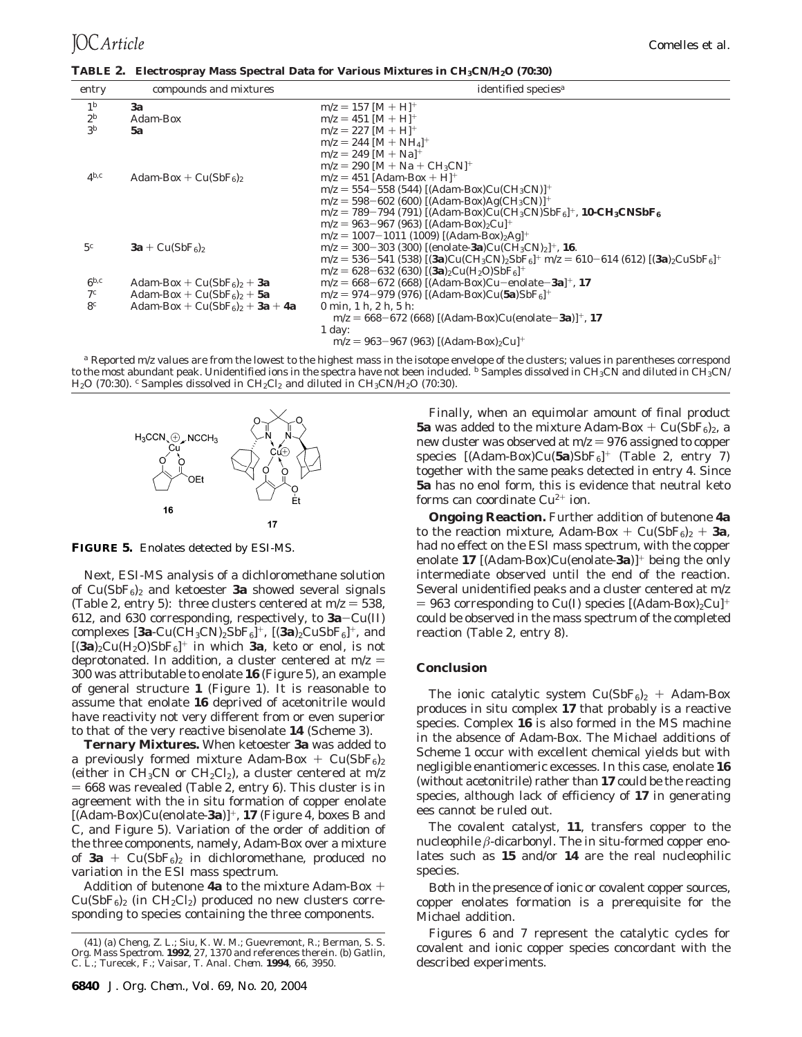| TABLE 2. Electrospray Mass Spectral Data for Various Mixtures in CH <sub>3</sub> CN/H <sub>2</sub> O (70:30) |  |  |  |  |
|--------------------------------------------------------------------------------------------------------------|--|--|--|--|
|                                                                                                              |  |  |  |  |

| entry          | compounds and mixtures           | identified species <sup>a</sup>                                                                                                   |
|----------------|----------------------------------|-----------------------------------------------------------------------------------------------------------------------------------|
| 1 <sup>b</sup> | 3a                               | $m/z = 157$ [M + H] <sup>+</sup>                                                                                                  |
| $2^b$          | Adam-Box                         | $m/z = 451$ [M + H] <sup>+</sup>                                                                                                  |
| 3 <sup>b</sup> | 5a                               | $m/z = 227$ [M + H] <sup>+</sup>                                                                                                  |
|                |                                  | $m/z = 244$ [M + NH <sub>4</sub> ] <sup>+</sup>                                                                                   |
|                |                                  | $m/z = 249$ [M + Na] <sup>+</sup>                                                                                                 |
|                |                                  | $m/z = 290$ [M + Na + CH <sub>3</sub> CN] <sup>+</sup>                                                                            |
| $4^{b,c}$      | Adam-Box + $Cu(SbF_6)_2$         | $m/z = 451$ [Adam-Box + H] <sup>+</sup>                                                                                           |
|                |                                  | $m/z = 554 - 558$ (544) [(Adam-Box)Cu(CH <sub>3</sub> CN)] <sup>+</sup>                                                           |
|                |                                  | $m/z = 598 - 602$ (600) [(Adam-Box)Ag(CH <sub>3</sub> CN)] <sup>+</sup>                                                           |
|                |                                  | $m/z = 789-794(791)$ [(Adam-Box)Cu(CH <sub>3</sub> CN)SbF <sub>6</sub> ] <sup>+</sup> , <b>10-CH<sub>3</sub>CNSbF<sub>6</sub></b> |
|                |                                  | $m/z = 963 - 967$ (963) [(Adam-Box) <sub>2</sub> Cu <sup>+</sup>                                                                  |
|                |                                  | $m/z = 1007-1011$ (1009) [(Adam-Box) <sub>2</sub> Ag] <sup>+</sup>                                                                |
| 5c             | $3a + Cu(SbF6)2$                 | $m/z = 300-303$ (300) [(enolate-3a)Cu(CH <sub>3</sub> CN) <sub>2</sub> ] <sup>+</sup> , 16.                                       |
|                |                                  | $m/z = 536-541$ (538) $[(3a)Cu(CH_3CN)_2SbF_6]^+$ $m/z = 610-614$ (612) $[(3a)_2CuSbF_6]^+$                                       |
|                |                                  | $m/z = 628 - 632$ (630) $[(3a)_2Cu(H_2O)SbF_6]^+$                                                                                 |
| $6^{b,c}$      | Adam-Box + $Cu(SbF_6)_2 + 3a$    | $m/z = 668 - 672$ (668) [(Adam-Box)Cu-enolate-3a] <sup>+</sup> , 17                                                               |
| 7 <sup>c</sup> | Adam-Box + $Cu(SbF6)2$ + 5a      | $m/z = 974 - 979$ (976) [(Adam-Box)Cu(5a)SbF <sub>6</sub> ] <sup>+</sup>                                                          |
| 8 <sup>c</sup> | Adam-Box + $Cu(SbF6)2$ + 3a + 4a | 0 min. $1 h. 2 h. 5 h.$                                                                                                           |
|                |                                  | $m/z = 668-672$ (668) [(Adam-Box)Cu(enolate-3a)] <sup>+</sup> , 17                                                                |
|                |                                  | $1$ day:                                                                                                                          |
|                |                                  | $m/z = 963 - 967$ (963) [(Adam-Box) <sub>2</sub> Cu] <sup>+</sup>                                                                 |
|                |                                  |                                                                                                                                   |

*<sup>a</sup>* Reported *m*/*z* values are from the lowest to the highest mass in the isotope envelope of the clusters; values in parentheses correspond to the most abundant peak. Unidentified ions in the spectra have not been included. *b* Samples dissolved in CH<sub>3</sub>CN and diluted in CH<sub>3</sub>CN/ H<sub>2</sub>O (70:30). <sup>c</sup> Samples dissolved in CH<sub>2</sub>Cl<sub>2</sub> and diluted in CH<sub>3</sub>CN/H<sub>2</sub>O (70:30).



**FIGURE 5.** Enolates detected by ESI-MS.

Next, ESI-MS analysis of a dichloromethane solution of  $Cu(SbF_6)_2$  and ketoester **3a** showed several signals (Table 2, entry 5): three clusters centered at  $m/z = 538$ , 612, and 630 corresponding, respectively, to **3a**-Cu(II) complexes  $[3a$ -Cu(CH<sub>3</sub>CN)<sub>2</sub>SbF<sub>6</sub>]<sup>+</sup>,  $[(3a)$ <sub>2</sub>CuSbF<sub>6</sub>]<sup>+</sup>, and  $[(3a)_2Cu(H_2O)SbF_6]^+$  in which **3a**, keto or enol, is not deprotonated. In addition, a cluster centered at  $m/z =$ 300 was attributable to enolate **16** (Figure 5), an example of general structure **1** (Figure 1). It is reasonable to assume that enolate **16** deprived of acetonitrile would have reactivity not very different from or even superior to that of the very reactive bisenolate **14** (Scheme 3).

**Ternary Mixtures.** When ketoester **3a** was added to a previously formed mixture Adam-Box +  $Cu(SbF_6)_2$ (either in  $CH_3CN$  or  $CH_2Cl_2$ ), a cluster centered at  $m/z$  $= 668$  was revealed (Table 2, entry 6). This cluster is in agreement with the in situ formation of copper enolate [(Adam-Box)Cu(enolate-**3a**)]+, **17** (Figure 4, boxes B and C, and Figure 5). Variation of the order of addition of the three components, namely, Adam-Box over a mixture of  $3a + Cu(SbF_6)$ <sub>2</sub> in dichloromethane, produced no variation in the ESI mass spectrum.

Addition of butenone **4a** to the mixture Adam-Box +  $Cu(SbF_6)_2$  (in  $CH_2Cl_2$ ) produced no new clusters corresponding to species containing the three components.

Finally, when an equimolar amount of final product **5a** was added to the mixture Adam-Box +  $Cu(SbF_6)_2$ , a new cluster was observed at  $m/z = 976$  assigned to copper species [(Adam-Box)Cu(5a)SbF<sub>6</sub>]<sup>+</sup> (Table 2, entry 7) together with the same peaks detected in entry 4. Since **5a** has no enol form, this is evidence that neutral keto forms can coordinate  $Cu^{2+}$  ion.

**Ongoing Reaction.** Further addition of butenone **4a** to the reaction mixture, Adam-Box +  $Cu(SbF_6)_2 + 3a$ , had no effect on the ESI mass spectrum, with the copper enolate **17** [(Adam-Box)Cu(enolate-**3a**)]<sup>+</sup> being the only intermediate observed until the end of the reaction. Several unidentified peaks and a cluster centered at *m*/*z*  $= 963$  corresponding to Cu(I) species  $[({\rm Adam-Box})_2$ Cu]<sup>+</sup> could be observed in the mass spectrum of the completed reaction (Table 2, entry 8).

## **Conclusion**

The ionic catalytic system  $Cu(SbF_6)_2$  + Adam-Box produces in situ complex **17** that probably is a reactive species. Complex **16** is also formed in the MS machine in the absence of Adam-Box. The Michael additions of Scheme 1 occur with excellent chemical yields but with negligible enantiomeric excesses. In this case, enolate **16** (without acetonitrile) rather than **17** could be the reacting species, although lack of efficiency of **17** in generating ees cannot be ruled out.

The covalent catalyst, **11**, transfers copper to the nucleophile *â*-dicarbonyl. The in situ-formed copper enolates such as **15** and/or **14** are the real nucleophilic species.

Both in the presence of ionic or covalent copper sources, copper enolates formation is a prerequisite for the Michael addition.

Figures 6 and 7 represent the catalytic cycles for covalent and ionic copper species concordant with the described experiments.

<sup>(41) (</sup>a) Cheng, Z. L.; Siu, K. W. M.; Guevremont, R.; Berman, S. S. *Org. Mass Spectrom.* **1992**, *27*, 1370 and references therein. (b) Gatlin, C. L.; Turecek, F.; Vaisar, T. *Anal. Chem.* **1994**, *66*, 3950.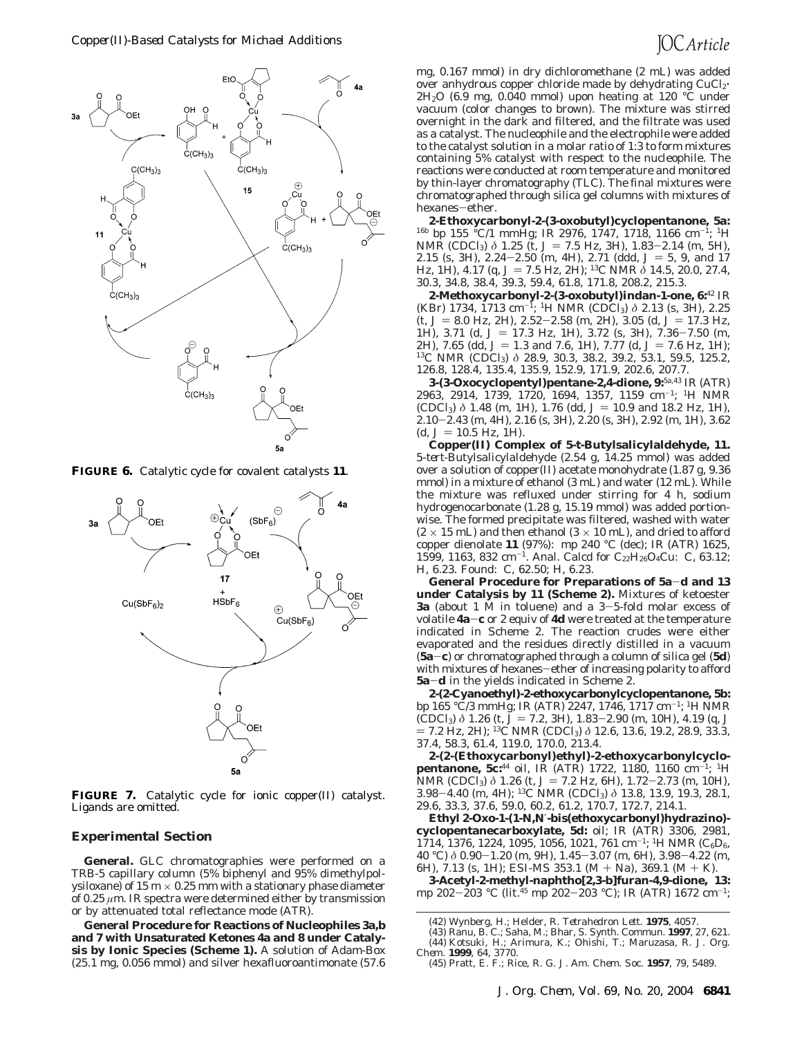

**FIGURE 6.** Catalytic cycle for covalent catalysts **11**.



**FIGURE 7.** Catalytic cycle for ionic copper(II) catalyst. Ligands are omitted.

#### **Experimental Section**

**General.** GLC chromatographies were performed on a TRB-5 capillary column (5% biphenyl and 95% dimethylpolysiloxane) of 15 m  $\times$  0.25 mm with a stationary phase diameter of 0.25 *µ*m. IR spectra were determined either by transmission or by attenuated total reflectance mode (ATR).

**General Procedure for Reactions of Nucleophiles 3a,b and 7 with Unsaturated Ketones 4a and 8 under Catalysis by Ionic Species (Scheme 1).** A solution of Adam-Box (25.1 mg, 0.056 mmol) and silver hexafluoroantimonate (57.6 mg, 0.167 mmol) in dry dichloromethane (2 mL) was added over anhydrous copper chloride made by dehydrating CuCl<sub>2</sub>.  $2H<sub>2</sub>O$  (6.9 mg, 0.040 mmol) upon heating at 120 °C under vacuum (color changes to brown). The mixture was stirred overnight in the dark and filtered, and the filtrate was used as a catalyst. The nucleophile and the electrophile were added to the catalyst solution in a molar ratio of 1:3 to form mixtures containing 5% catalyst with respect to the nucleophile. The reactions were conducted at room temperature and monitored by thin-layer chromatography (TLC). The final mixtures were chromatographed through silica gel columns with mixtures of hexanes-ether.

**2-Ethoxycarbonyl-2-(3-oxobutyl)cyclopentanone, 5a:** 16b bp 155 °C/1 mmHg; IR 2976, 1747, 1718, 1166 cm-1; 1H NMR (CDCl<sub>3</sub>) *δ* 1.25 (t, *J* = 7.5 Hz, 3H), 1.83-2.14 (m, 5H), 2.15 (s, 3H),  $2.24 - 2.50$  (m, 4H),  $2.71$  (ddd,  $J = 5$ , 9, and 17 Hz, 1H), 4.17 (q,  $J = 7.5$  Hz, 2H); <sup>13</sup>C NMR  $\delta$  14.5, 20.0, 27.4, 30.3, 34.8, 38.4, 39.3, 59.4, 61.8, 171.8, 208.2, 215.3.

**2-Methoxycarbonyl-2-(3-oxobutyl)indan-1-one, 6:**<sup>42</sup> IR (KBr) 1734, 1713 cm-1; 1H NMR (CDCl3) *δ* 2.13 (s, 3H), 2.25  $(t, J = 8.0 \text{ Hz}, 2\text{H})$ , 2.52-2.58 (m, 2H), 3.05 (d,  $J = 17.3 \text{ Hz}$ , 1H), 3.71 (d, *J* = 17.3 Hz, 1H), 3.72 (s, 3H), 7.36-7.50 (m, 2H), 7.65 (dd, *J* = 1.3 and 7.6, 1H), 7.77 (d, *J* = 7.6 Hz, 1H); <sup>13</sup>C NMR (CDCl<sub>3</sub>) *δ* 28.9, 30.3, 38.2, 39.2, 53.1, 59.5, 125.2, 126.8, 128.4, 135.4, 135.9, 152.9, 171.9, 202.6, 207.7.

**3-(3-Oxocyclopentyl)pentane-2,4-dione, 9:**5a,43 IR (ATR) 2963, 2914, 1739, 1720, 1694, 1357, 1159 cm-1; 1H NMR  $(CDCI_3)$   $\delta$  1.48 (m, 1H), 1.76 (dd,  $J = 10.9$  and 18.2 Hz, 1H), 2.10-2.43 (m, 4H), 2.16 (s, 3H), 2.20 (s, 3H), 2.92 (m, 1H), 3.62  $(d, J = 10.5$  Hz, 1H).

**Copper(II) Complex of 5-***t***-Butylsalicylaldehyde, 11.** 5-*tert*-Butylsalicylaldehyde (2.54 g, 14.25 mmol) was added over a solution of copper(II) acetate monohydrate (1.87 g, 9.36 mmol) in a mixture of ethanol (3 mL) and water (12 mL). While the mixture was refluxed under stirring for 4 h, sodium hydrogenocarbonate (1.28 g, 15.19 mmol) was added portionwise. The formed precipitate was filtered, washed with water  $(2 \times 15$  mL) and then ethanol  $(3 \times 10$  mL), and dried to afford copper dienolate **11** (97%): mp 240 °C (dec); IR (ATR) 1625, 1599, 1163, 832 cm<sup>-1</sup>. Anal. Calcd for C<sub>22</sub>H<sub>26</sub>O<sub>4</sub>Cu: C, 63.12; H, 6.23. Found: C, 62.50; H, 6.23.

**General Procedure for Preparations of 5a**-**d and 13 under Catalysis by 11 (Scheme 2).** Mixtures of ketoester **3a** (about 1 M in toluene) and a 3-5-fold molar excess of volatile **4a**-**<sup>c</sup>** or 2 equiv of **4d** were treated at the temperature indicated in Scheme 2. The reaction crudes were either evaporated and the residues directly distilled in a vacuum (**5a**-**c**) or chromatographed through a column of silica gel (**5d**) with mixtures of hexanes-ether of increasing polarity to afford **5a**-**<sup>d</sup>** in the yields indicated in Scheme 2.

**2-(2-Cyanoethyl)-2-ethoxycarbonylcyclopentanone, 5b:** bp 165 °C/3 mmHg; IR (ATR) 2247, 1746, 1717 cm-1; 1H NMR  $(CDCI<sub>3</sub>)$   $\delta$  1.26 (t,  $J = 7.2$ , 3H), 1.83-2.90 (m, 10H), 4.19 (q, *J* ) 7.2 Hz, 2H); 13C NMR (CDCl3) *<sup>δ</sup>* 12.6, 13.6, 19.2, 28.9, 33.3, 37.4, 58.3, 61.4, 119.0, 170.0, 213.4.

**2-(2-(Ethoxycarbonyl)ethyl)-2-ethoxycarbonylcyclopentanone, 5c:**<sup>44</sup> oil, IR (ATR) 1722, 1180, 1160 cm-1; 1H NMR (CDCl<sub>3</sub>) *δ* 1.26 (t, *J* = 7.2 Hz, 6H), 1.72-2.73 (m, 10H), 3.98-4.40 (m, 4H); 13C NMR (CDCl3) *<sup>δ</sup>* 13.8, 13.9, 19.3, 28.1, 29.6, 33.3, 37.6, 59.0, 60.2, 61.2, 170.7, 172.7, 214.1.

**Ethyl 2-Oxo-1-(1-***N,N*′**-bis(ethoxycarbonyl)hydrazino) cyclopentanecarboxylate, 5d:** oil; IR (ATR) 3306, 2981, 1714, 1376, 1224, 1095, 1056, 1021, 761 cm<sup>-1</sup>; <sup>1</sup>H NMR (C<sub>6</sub>D<sub>6</sub>, 40 °C) *<sup>δ</sup>* 0.90-1.20 (m, 9H), 1.45-3.07 (m, 6H), 3.98-4.22 (m, 6H), 7.13 (s, 1H); ESI-MS 353.1 (M + Na), 369.1 (M + K).

**3-Acetyl-2-methyl-naphtho[2,3-b]furan-4,9-dione, 13:** mp 202-203 °C (lit.45 mp 202-203 °C); IR (ATR) 1672 cm-1;

(44) Kotsuki, H.; Arimura, K.; Ohishi, T.; Maruzasa, R. *J. Org. Chem*. **1999**, *64*, 3770.

(45) Pratt, E. F.; Rice, R. G. *J. Am. Chem. Soc*. **1957**, *79*, 5489.

<sup>(42)</sup> Wynberg, H.; Helder, R. *Tetrahedron Lett*. **1975**, 4057.

<sup>(43)</sup> Ranu, B. C.; Saha, M.; Bhar, S. *Synth. Commun*. **1997**, *27*, 621.